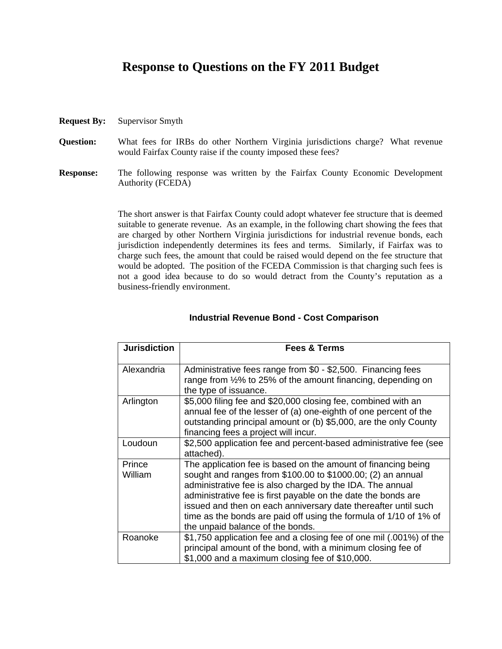## **Response to Questions on the FY 2011 Budget**

- **Request By:** Supervisor Smyth
- **Question:** What fees for IRBs do other Northern Virginia jurisdictions charge? What revenue would Fairfax County raise if the county imposed these fees?
- **Response:** The following response was written by the Fairfax County Economic Development Authority (FCEDA)

The short answer is that Fairfax County could adopt whatever fee structure that is deemed suitable to generate revenue. As an example, in the following chart showing the fees that are charged by other Northern Virginia jurisdictions for industrial revenue bonds, each jurisdiction independently determines its fees and terms. Similarly, if Fairfax was to charge such fees, the amount that could be raised would depend on the fee structure that would be adopted. The position of the FCEDA Commission is that charging such fees is not a good idea because to do so would detract from the County's reputation as a business-friendly environment.

| <b>Jurisdiction</b> | <b>Fees &amp; Terms</b>                                                                                                                                                                                                                                                                                                                                                                                                               |
|---------------------|---------------------------------------------------------------------------------------------------------------------------------------------------------------------------------------------------------------------------------------------------------------------------------------------------------------------------------------------------------------------------------------------------------------------------------------|
| Alexandria          | Administrative fees range from \$0 - \$2,500. Financing fees<br>range from 1/2% to 25% of the amount financing, depending on<br>the type of issuance.                                                                                                                                                                                                                                                                                 |
| Arlington           | \$5,000 filing fee and \$20,000 closing fee, combined with an<br>annual fee of the lesser of (a) one-eighth of one percent of the<br>outstanding principal amount or (b) \$5,000, are the only County<br>financing fees a project will incur.                                                                                                                                                                                         |
| Loudoun             | \$2,500 application fee and percent-based administrative fee (see<br>attached).                                                                                                                                                                                                                                                                                                                                                       |
| Prince<br>William   | The application fee is based on the amount of financing being<br>sought and ranges from \$100.00 to \$1000.00; (2) an annual<br>administrative fee is also charged by the IDA. The annual<br>administrative fee is first payable on the date the bonds are<br>issued and then on each anniversary date thereafter until such<br>time as the bonds are paid off using the formula of 1/10 of 1% of<br>the unpaid balance of the bonds. |
| Roanoke             | \$1,750 application fee and a closing fee of one mil (.001%) of the<br>principal amount of the bond, with a minimum closing fee of<br>\$1,000 and a maximum closing fee of \$10,000.                                                                                                                                                                                                                                                  |

## **Industrial Revenue Bond - Cost Comparison**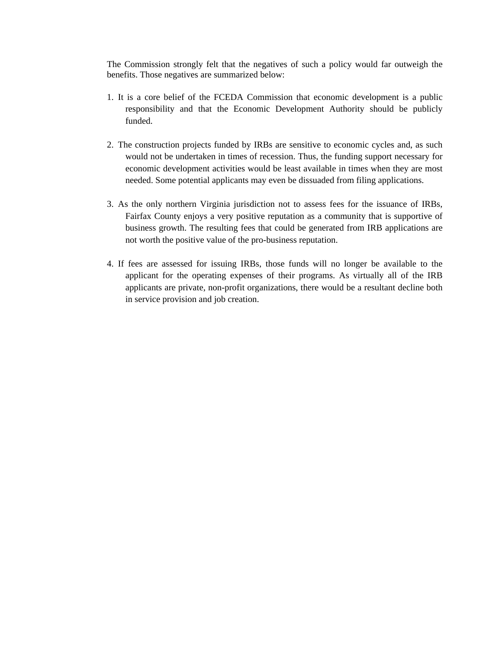The Commission strongly felt that the negatives of such a policy would far outweigh the benefits. Those negatives are summarized below:

- 1. It is a core belief of the FCEDA Commission that economic development is a public responsibility and that the Economic Development Authority should be publicly funded.
- 2. The construction projects funded by IRBs are sensitive to economic cycles and, as such would not be undertaken in times of recession. Thus, the funding support necessary for economic development activities would be least available in times when they are most needed. Some potential applicants may even be dissuaded from filing applications.
- 3. As the only northern Virginia jurisdiction not to assess fees for the issuance of IRBs, Fairfax County enjoys a very positive reputation as a community that is supportive of business growth. The resulting fees that could be generated from IRB applications are not worth the positive value of the pro-business reputation.
- 4. If fees are assessed for issuing IRBs, those funds will no longer be available to the applicant for the operating expenses of their programs. As virtually all of the IRB applicants are private, non-profit organizations, there would be a resultant decline both in service provision and job creation.